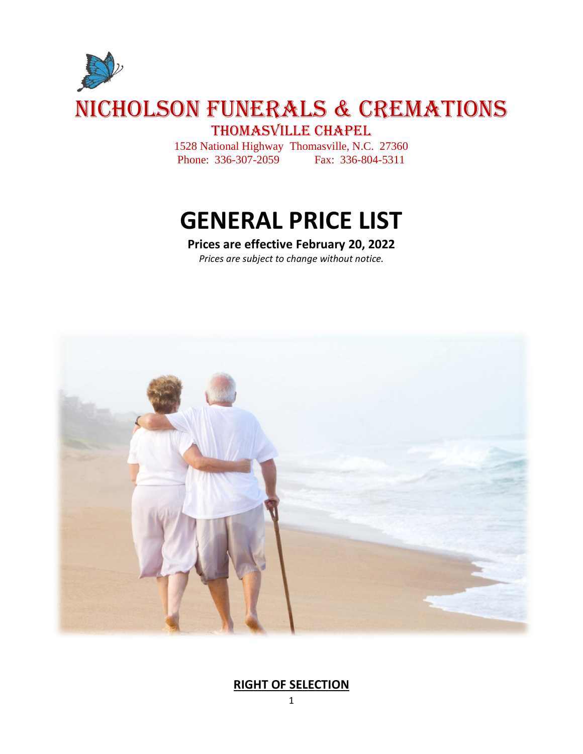

1528 National Highway Thomasville, N.C. 27360 Phone: 336-307-2059 Fax: 336-804-5311

# **GENERAL PRICE LIST**

## **Prices are effective February 20, 2022**

*Prices are subject to change without notice.*



### **RIGHT OF SELECTION**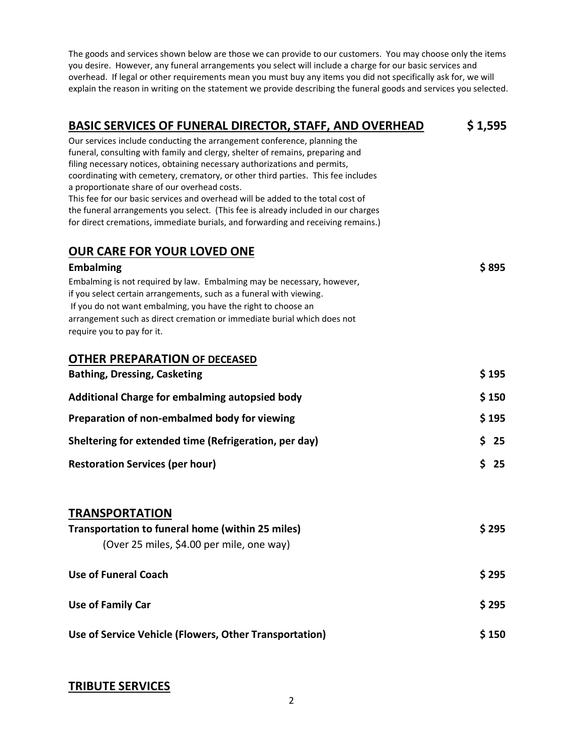The goods and services shown below are those we can provide to our customers. You may choose only the items you desire. However, any funeral arrangements you select will include a charge for our basic services and overhead. If legal or other requirements mean you must buy any items you did not specifically ask for, we will explain the reason in writing on the statement we provide describing the funeral goods and services you selected.

| <b>BASIC SERVICES OF FUNERAL DIRECTOR, STAFF, AND OVERHEAD</b>                                                                                                        | \$1,595  |
|-----------------------------------------------------------------------------------------------------------------------------------------------------------------------|----------|
| Our services include conducting the arrangement conference, planning the                                                                                              |          |
| funeral, consulting with family and clergy, shelter of remains, preparing and                                                                                         |          |
| filing necessary notices, obtaining necessary authorizations and permits,<br>coordinating with cemetery, crematory, or other third parties. This fee includes         |          |
| a proportionate share of our overhead costs.                                                                                                                          |          |
| This fee for our basic services and overhead will be added to the total cost of                                                                                       |          |
| the funeral arrangements you select. (This fee is already included in our charges<br>for direct cremations, immediate burials, and forwarding and receiving remains.) |          |
|                                                                                                                                                                       |          |
| <b>OUR CARE FOR YOUR LOVED ONE</b>                                                                                                                                    |          |
| <b>Embalming</b>                                                                                                                                                      | \$895    |
| Embalming is not required by law. Embalming may be necessary, however,                                                                                                |          |
| if you select certain arrangements, such as a funeral with viewing.                                                                                                   |          |
| If you do not want embalming, you have the right to choose an<br>arrangement such as direct cremation or immediate burial which does not                              |          |
| require you to pay for it.                                                                                                                                            |          |
|                                                                                                                                                                       |          |
| <b>OTHER PREPARATION OF DECEASED</b>                                                                                                                                  |          |
| <b>Bathing, Dressing, Casketing</b>                                                                                                                                   | \$195    |
| Additional Charge for embalming autopsied body                                                                                                                        | \$150    |
| Preparation of non-embalmed body for viewing                                                                                                                          | \$195    |
| Sheltering for extended time (Refrigeration, per day)                                                                                                                 | \$<br>25 |
| <b>Restoration Services (per hour)</b>                                                                                                                                | Ś.<br>25 |
|                                                                                                                                                                       |          |
|                                                                                                                                                                       |          |
| <b>TRANSPORTATION</b>                                                                                                                                                 |          |
| Transportation to funeral home (within 25 miles)                                                                                                                      | \$ 295   |
| (Over 25 miles, \$4.00 per mile, one way)                                                                                                                             |          |
| <b>Use of Funeral Coach</b>                                                                                                                                           | \$295    |
|                                                                                                                                                                       |          |
| <b>Use of Family Car</b>                                                                                                                                              | \$295    |
| Use of Service Vehicle (Flowers, Other Transportation)                                                                                                                | \$150    |

### **TRIBUTE SERVICES**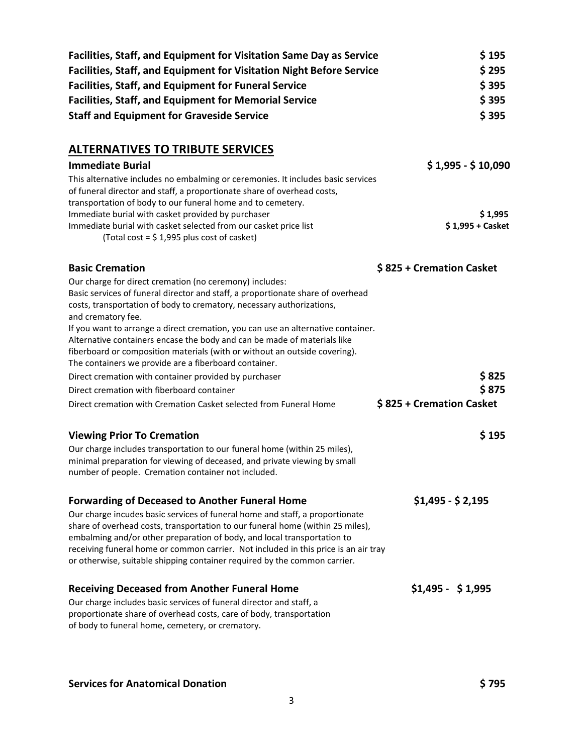| <b>Facilities, Staff, and Equipment for Visitation Same Day as Service</b>                                                                                                                                                                 | \$195                    |
|--------------------------------------------------------------------------------------------------------------------------------------------------------------------------------------------------------------------------------------------|--------------------------|
| <b>Facilities, Staff, and Equipment for Visitation Night Before Service</b>                                                                                                                                                                | \$295                    |
| <b>Facilities, Staff, and Equipment for Funeral Service</b>                                                                                                                                                                                | \$395                    |
| <b>Facilities, Staff, and Equipment for Memorial Service</b>                                                                                                                                                                               | \$395                    |
| <b>Staff and Equipment for Graveside Service</b>                                                                                                                                                                                           | \$395                    |
|                                                                                                                                                                                                                                            |                          |
| <b>ALTERNATIVES TO TRIBUTE SERVICES</b>                                                                                                                                                                                                    |                          |
| <b>Immediate Burial</b>                                                                                                                                                                                                                    | $$1,995 - $10,090$       |
| This alternative includes no embalming or ceremonies. It includes basic services<br>of funeral director and staff, a proportionate share of overhead costs,<br>transportation of body to our funeral home and to cemetery.                 |                          |
| Immediate burial with casket provided by purchaser                                                                                                                                                                                         | \$1,995                  |
| Immediate burial with casket selected from our casket price list<br>(Total cost = $$1,995$ plus cost of casket)                                                                                                                            | \$1,995 + Casket         |
| <b>Basic Cremation</b>                                                                                                                                                                                                                     | \$825 + Cremation Casket |
| Our charge for direct cremation (no ceremony) includes:<br>Basic services of funeral director and staff, a proportionate share of overhead<br>costs, transportation of body to crematory, necessary authorizations,<br>and crematory fee.  |                          |
| If you want to arrange a direct cremation, you can use an alternative container.<br>Alternative containers encase the body and can be made of materials like<br>fiberboard or composition materials (with or without an outside covering). |                          |
| The containers we provide are a fiberboard container.                                                                                                                                                                                      |                          |
| Direct cremation with container provided by purchaser                                                                                                                                                                                      | \$825                    |
| Direct cremation with fiberboard container                                                                                                                                                                                                 | \$875                    |
| Direct cremation with Cremation Casket selected from Funeral Home                                                                                                                                                                          | \$825 + Cremation Casket |
| <b>Viewing Prior To Cremation</b>                                                                                                                                                                                                          | \$195                    |
| Our charge includes transportation to our funeral home (within 25 miles),                                                                                                                                                                  |                          |
| minimal preparation for viewing of deceased, and private viewing by small                                                                                                                                                                  |                          |
| number of people. Cremation container not included.                                                                                                                                                                                        |                          |
| <b>Forwarding of Deceased to Another Funeral Home</b>                                                                                                                                                                                      | $$1,495 - $2,195$        |
| Our charge incudes basic services of funeral home and staff, a proportionate<br>share of overhead costs, transportation to our funeral home (within 25 miles),<br>embalming and/or other preparation of body, and local transportation to  |                          |
| receiving funeral home or common carrier. Not included in this price is an air tray<br>or otherwise, suitable shipping container required by the common carrier.                                                                           |                          |
| <b>Receiving Deceased from Another Funeral Home</b>                                                                                                                                                                                        | $$1,495 - $1,995$        |
| Our charge includes basic services of funeral director and staff, a<br>proportionate share of overhead costs, care of body, transportation<br>of body to funeral home, cemetery, or crematory.                                             |                          |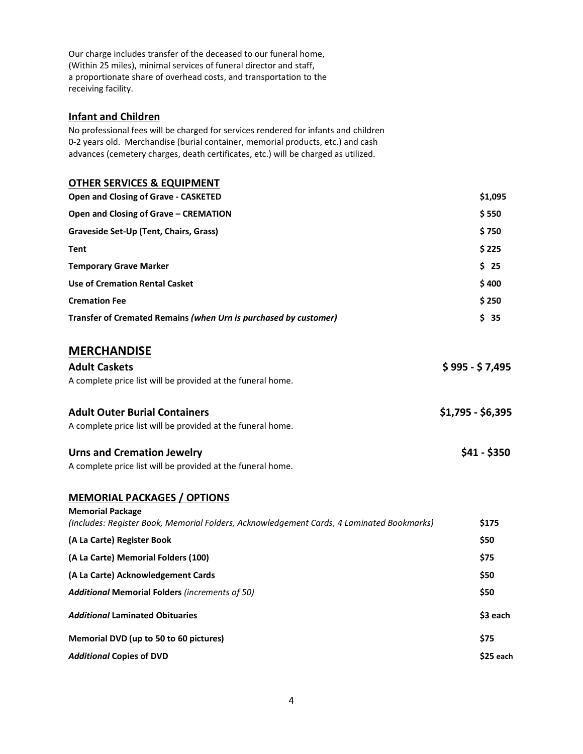Our charge includes transfer of the deceased to our funeral home, (Within 25 miles), minimal services of funeral director and staff, a proportionate share of overhead costs, and transportation to the receiving facility.

#### **Infant and Children**

No professional fees will be charged for services rendered for infants and children 0-2 years old. Merchandise (burial container, memorial products, etc.) and cash advances (cemetery charges, death certificates, etc.) will be charged as utilized.

#### **OTHER SERVICES & EQUIPMENT**

| <b>Open and Closing of Grave - CASKETED</b>                      | \$1,095 |
|------------------------------------------------------------------|---------|
| Open and Closing of Grave - CREMATION                            | \$550   |
| Graveside Set-Up (Tent, Chairs, Grass)                           | \$750   |
| Tent                                                             | \$225   |
| <b>Temporary Grave Marker</b>                                    | \$25    |
| Use of Cremation Rental Casket                                   | \$400   |
| <b>Cremation Fee</b>                                             | \$250   |
| Transfer of Cremated Remains (when Urn is purchased by customer) | \$ 35   |

#### **MERCHANDISE**

| <b>Adult Caskets</b>                                        | $$995 - $7,495$   |
|-------------------------------------------------------------|-------------------|
| A complete price list will be provided at the funeral home. |                   |
| <b>Adult Outer Burial Containers</b>                        | $$1,795 - $6,395$ |
| A complete price list will be provided at the funeral home. |                   |

**Urns and Cremation Jewelry \$41 - \$350**

| <b>Urns and Cremation Jewelry</b>                           |  |
|-------------------------------------------------------------|--|
| A complete price list will be provided at the funeral home. |  |

#### **MEMORIAL PACKAGES / OPTIONS**

| \$175     |
|-----------|
| \$50      |
| \$75      |
| \$50      |
| \$50      |
| \$3 each  |
| \$75      |
| \$25 each |
|           |